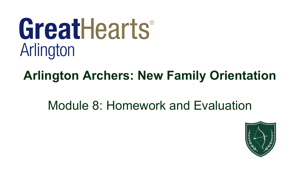# GreatHearts® Arlington

# **Arlington Archers: New Family Orientation**

## Module 8: Homework and Evaluation

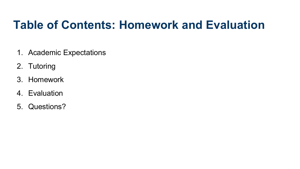## **Table of Contents: Homework and Evaluation**

- 1. Academic Expectations
- 2. Tutoring
- 3. Homework
- 4. Evaluation
- 5. Questions?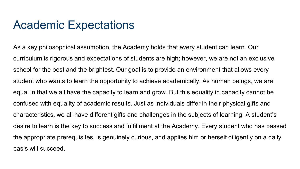#### Academic Expectations

As a key philosophical assumption, the Academy holds that every student can learn. Our curriculum is rigorous and expectations of students are high; however, we are not an exclusive school for the best and the brightest. Our goal is to provide an environment that allows every student who wants to learn the opportunity to achieve academically. As human beings, we are equal in that we all have the capacity to learn and grow. But this equality in capacity cannot be confused with equality of academic results. Just as individuals differ in their physical gifts and characteristics, we all have different gifts and challenges in the subjects of learning. A student's desire to learn is the key to success and fulfillment at the Academy. Every student who has passed the appropriate prerequisites, is genuinely curious, and applies him or herself diligently on a daily basis will succeed.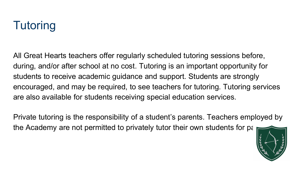# **Tutoring**

All Great Hearts teachers offer regularly scheduled tutoring sessions before, during, and/or after school at no cost. Tutoring is an important opportunity for students to receive academic guidance and support. Students are strongly encouraged, and may be required, to see teachers for tutoring. Tutoring services are also available for students receiving special education services.

Private tutoring is the responsibility of a student's parents. Teachers employed by the Academy are not permitted to privately tutor their own students for pay.

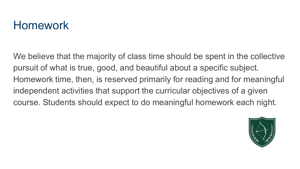## Homework

We believe that the majority of class time should be spent in the collective pursuit of what is true, good, and beautiful about a specific subject. Homework time, then, is reserved primarily for reading and for meaningful independent activities that support the curricular objectives of a given course. Students should expect to do meaningful homework each night.

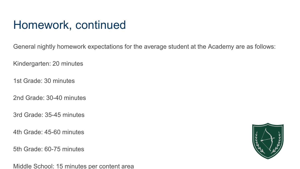General nightly homework expectations for the average student at the Academy are as follows:

Kindergarten: 20 minutes

1st Grade: 30 minutes

2nd Grade: 30-40 minutes

3rd Grade: 35-45 minutes

4th Grade: 45-60 minutes

5th Grade: 60-75 minutes

Middle School: 15 minutes per content area

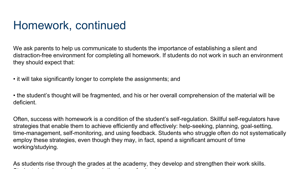We ask parents to help us communicate to students the importance of establishing a silent and distraction-free environment for completing all homework. If students do not work in such an environment they should expect that:

• it will take significantly longer to complete the assignments; and

• the student's thought will be fragmented, and his or her overall comprehension of the material will be deficient.

Often, success with homework is a condition of the student's self-regulation. Skillful self-regulators have strategies that enable them to achieve efficiently and effectively: help-seeking, planning, goal-setting, time-management, self-monitoring, and using feedback. Students who struggle often do not systematically employ these strategies, even though they may, in fact, spend a significant amount of time working/studying.

As students rise through the grades at the academy, they develop and strengthen their work skills. St d t l h t l h t l h t l th i f h t l t l h t l h t l h t l h t l h t l h t l h t l h t l h t l h t l h t l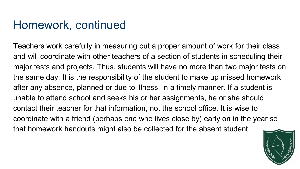Teachers work carefully in measuring out a proper amount of work for their class and will coordinate with other teachers of a section of students in scheduling their major tests and projects. Thus, students will have no more than two major tests on the same day. It is the responsibility of the student to make up missed homework after any absence, planned or due to illness, in a timely manner. If a student is unable to attend school and seeks his or her assignments, he or she should contact their teacher for that information, not the school office. It is wise to coordinate with a friend (perhaps one who lives close by) early on in the year so that homework handouts might also be collected for the absent student.

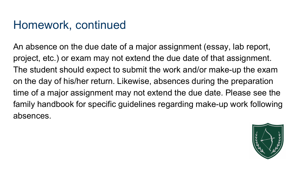An absence on the due date of a major assignment (essay, lab report, project, etc.) or exam may not extend the due date of that assignment. The student should expect to submit the work and/or make-up the exam on the day of his/her return. Likewise, absences during the preparation time of a major assignment may not extend the due date. Please see the family handbook for specific guidelines regarding make-up work following absences.

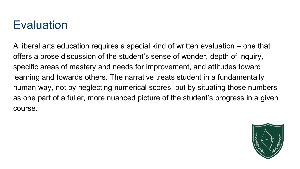## **Evaluation**

A liberal arts education requires a special kind of written evaluation – one that offers a prose discussion of the student's sense of wonder, depth of inquiry, specific areas of mastery and needs for improvement, and attitudes toward learning and towards others. The narrative treats student in a fundamentally human way, not by neglecting numerical scores, but by situating those numbers as one part of a fuller, more nuanced picture of the student's progress in a given course.

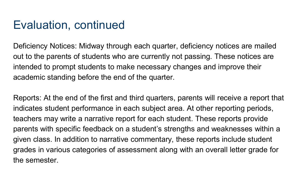#### Evaluation, continued

Deficiency Notices: Midway through each quarter, deficiency notices are mailed out to the parents of students who are currently not passing. These notices are intended to prompt students to make necessary changes and improve their academic standing before the end of the quarter.

Reports: At the end of the first and third quarters, parents will receive a report that indicates student performance in each subject area. At other reporting periods, teachers may write a narrative report for each student. These reports provide parents with specific feedback on a student's strengths and weaknesses within a given class. In addition to narrative commentary, these reports include student grades in various categories of assessment along with an overall letter grade for the semester.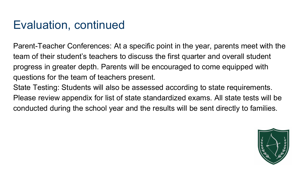## Evaluation, continued

Parent-Teacher Conferences: At a specific point in the year, parents meet with the team of their student's teachers to discuss the first quarter and overall student progress in greater depth. Parents will be encouraged to come equipped with questions for the team of teachers present.

State Testing: Students will also be assessed according to state requirements. Please review appendix for list of state standardized exams. All state tests will be conducted during the school year and the results will be sent directly to families.